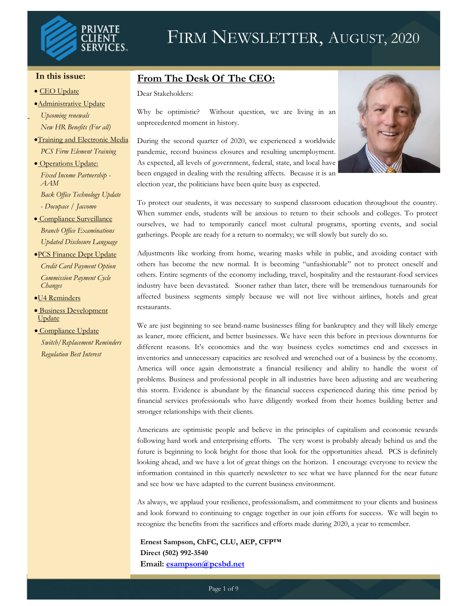

## FIRM NEWSLETTER, AUGUST, 2020

#### **In this issue:**

#### • CEO Update

- •Administrative Update
- *Upcoming renewals New HR Benefits (For all)*
- •Training and Electronic Media *PCS Firm Element Training*
- Operations Update: *Fixed Income Partnership - AAM*

*Back Office Technology Update*

*- Docupace / Jaccomo*

- Compliance Surveillance *Branch Office Examinations Updated Disclosure Language*
- •PCS Finance Dept Update *Credit Card Payment Option Commission Payment Cycle Changes*

•U4 Reminders

- Business Development Update
- Compliance Update *Switch/Replacement Reminders Regulation Best Interest*

#### **From The Desk Of The CEO:**

Dear Stakeholders:

Why be optimistic? Without question, we are living in an unprecedented moment in history.

During the second quarter of 2020, we experienced a worldwide pandemic, record business closures and resulting unemployment. As expected, all levels of government, federal, state, and local have been engaged in dealing with the resulting affects. Because it is an election year, the politicians have been quite busy as expected.



To protect our students, it was necessary to suspend classroom education throughout the country. When summer ends, students will be anxious to return to their schools and colleges. To protect ourselves, we had to temporarily cancel most cultural programs, sporting events, and social gatherings. People are ready for a return to normalcy; we will slowly but surely do so.

Adjustments like working from home, wearing masks while in public, and avoiding contact with others has become the new normal. It is becoming "unfashionable" not to protect oneself and others. Entire segments of the economy including, travel, hospitality and the restaurant-food services industry have been devastated. Sooner rather than later, there will be tremendous turnarounds for affected business segments simply because we will not live without airlines, hotels and great restaurants.

We are just beginning to see brand-name businesses filing for bankruptcy and they will likely emerge as leaner, more efficient, and better businesses. We have seen this before in previous downturns for different reasons. It's economics and the way business cycles sometimes end and excesses in inventories and unnecessary capacities are resolved and wrenched out of a business by the economy. America will once again demonstrate a financial resiliency and ability to handle the worst of problems. Business and professional people in all industries have been adjusting and are weathering this storm. Evidence is abundant by the financial success experienced during this time period by financial services professionals who have diligently worked from their homes building better and stronger relationships with their clients.

Americans are optimistic people and believe in the principles of capitalism and economic rewards following hard work and enterprising efforts. The very worst is probably already behind us and the future is beginning to look bright for those that look for the opportunities ahead. PCS is definitely looking ahead, and we have a lot of great things on the horizon. I encourage everyone to review the information contained in this quarterly newsletter to see what we have planned for the near future and see how we have adapted to the current business environment.

As always, we applaud your resilience, professionalism, and commitment to your clients and business and look forward to continuing to engage together in our join efforts for success. We will begin to recognize the benefits from the sacrifices and efforts made during 2020, a year to remember.

**Ernest Sampson, ChFC, CLU, AEP, CFP™ Direct (502) 992-3540 Email: [esampson@pcsbd.net](mailto:esampson@pcsbd.net)**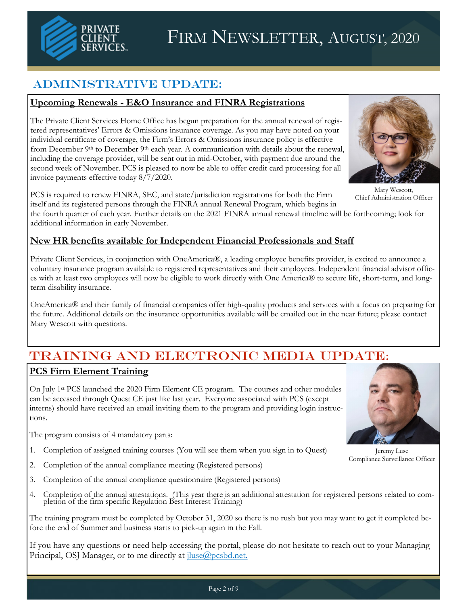

## Administrative Update:

#### **Upcoming Renewals - E&O Insurance and FINRA Registrations**

The Private Client Services Home Office has begun preparation for the annual renewal of registered representatives' Errors & Omissions insurance coverage. As you may have noted on your individual certificate of coverage, the Firm's Errors & Omissions insurance policy is effective from December 9<sup>th</sup> to December 9<sup>th</sup> each year. A communication with details about the renewal, including the coverage provider, will be sent out in mid-October, with payment due around the second week of November. PCS is pleased to now be able to offer credit card processing for all invoice payments effective today 8/7/2020.

PCS is required to renew FINRA, SEC, and state/jurisdiction registrations for both the Firm itself and its registered persons through the FINRA annual Renewal Program, which begins in

the fourth quarter of each year. Further details on the 2021 FINRA annual renewal timeline will be forthcoming; look for additional information in early November.

#### **New HR benefits available for Independent Financial Professionals and Staff**

Private Client Services, in conjunction with OneAmerica®, a leading employee benefits provider, is excited to announce a voluntary insurance program available to registered representatives and their employees. Independent financial advisor offices with at least two employees will now be eligible to work directly with One America® to secure life, short-term, and longterm disability insurance.

OneAmerica® and their family of financial companies offer high-quality products and services with a focus on preparing for the future. Additional details on the insurance opportunities available will be emailed out in the near future; please contact Mary Wescott with questions.

## Training and ELECTRONIC Media UPDATE:

#### **PCS Firm Element Training**

On July 1st PCS launched the 2020 Firm Element CE program. The courses and other modules can be accessed through Quest CE just like last year. Everyone associated with PCS (except interns) should have received an email inviting them to the program and providing login instructions.

The program consists of 4 mandatory parts:

- 1. Completion of assigned training courses (You will see them when you sign in to Quest)
- 2. Completion of the annual compliance meeting (Registered persons)
- 3. Completion of the annual compliance questionnaire (Registered persons)
- 4. Completion of the annual attestations. (This year there is an additional attestation for registered persons related to completion of the firm specific Regulation Best Interest Training)

The training program must be completed by October 31, 2020 so there is no rush but you may want to get it completed before the end of Summer and business starts to pick-up again in the Fall.

If you have any questions or need help accessing the portal, please do not hesitate to reach out to your Managing Principal, OSJ Manager, or to me directly at *jluse@pcsbd.net.* 



Mary Wescott, Chief Administration Officer



Jeremy Luse Compliance Surveillance Officer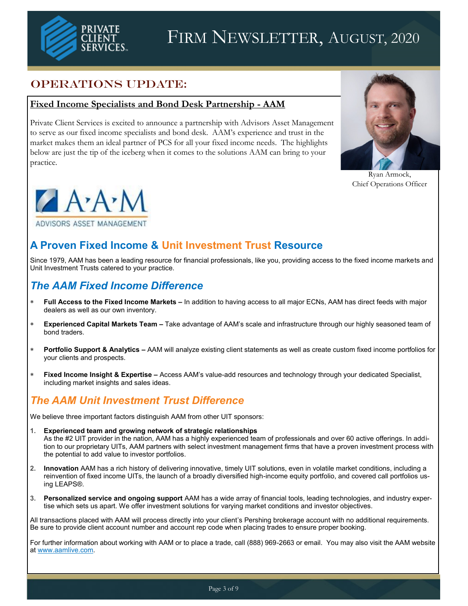

## FIRM NEWSLETTER, AUGUST, 2020

### OPERATIONS UPDATE:

#### **Fixed Income Specialists and Bond Desk Partnership - AAM**

Private Client Services is excited to announce a partnership with Advisors Asset Management to serve as our fixed income specialists and bond desk. AAM's experience and trust in the market makes them an ideal partner of PCS for all your fixed income needs. The highlights below are just the tip of the iceberg when it comes to the solutions AAM can bring to your practice.



Ryan Armock, Chief Operations Officer



## **A Proven Fixed Income & Unit Investment Trust Resource**

Since 1979, AAM has been a leading resource for financial professionals, like you, providing access to the fixed income markets and Unit Investment Trusts catered to your practice.

### *The AAM Fixed Income Difference*

- **Full Access to the Fixed Income Markets –** In addition to having access to all major ECNs, AAM has direct feeds with major dealers as well as our own inventory.
- **Experienced Capital Markets Team –** Take advantage of AAM's scale and infrastructure through our highly seasoned team of bond traders.
- **Portfolio Support & Analytics –** AAM will analyze existing client statements as well as create custom fixed income portfolios for your clients and prospects.
- **Fixed Income Insight & Expertise –** Access AAM's value-add resources and technology through your dedicated Specialist, including market insights and sales ideas.

## *The AAM Unit Investment Trust Difference*

We believe three important factors distinguish AAM from other UIT sponsors:

- **1. Experienced team and growing network of strategic relationships** As the #2 UIT provider in the nation, AAM has a highly experienced team of professionals and over 60 active offerings. In addition to our proprietary UITs, AAM partners with select investment management firms that have a proven investment process with the potential to add value to investor portfolios.
- **2. Innovation** AAM has a rich history of delivering innovative, timely UIT solutions, even in volatile market conditions, including a reinvention of fixed income UITs, the launch of a broadly diversified high-income equity portfolio, and covered call portfolios using LEAPS®.
- **3. Personalized service and ongoing support** AAM has a wide array of financial tools, leading technologies, and industry expertise which sets us apart. We offer investment solutions for varying market conditions and investor objectives.

All transactions placed with AAM will process directly into your client's Pershing brokerage account with no additional requirements. Be sure to provide client account number and account rep code when placing trades to ensure proper booking.

For further information about working with AAM or to place a trade, call (888) 969-2663 or email. You may also visit the AAM website at [www.aamlive.com.](http://www.aamlive.com)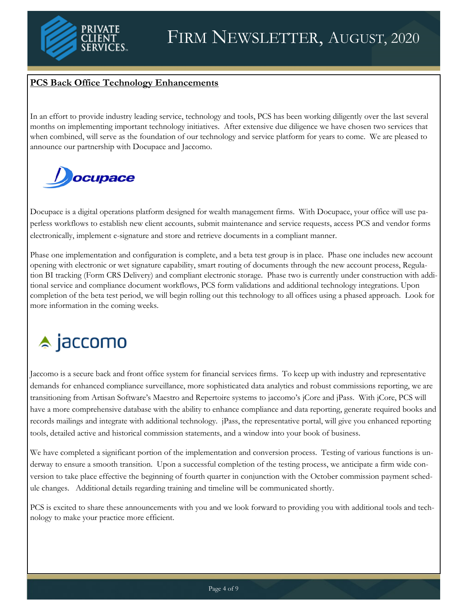

#### **PCS Back Office Technology Enhancements**

In an effort to provide industry leading service, technology and tools, PCS has been working diligently over the last several months on implementing important technology initiatives. After extensive due diligence we have chosen two services that when combined, will serve as the foundation of our technology and service platform for years to come. We are pleased to announce our partnership with Docupace and Jaccomo.

# *Docupace*

Docupace is a digital operations platform designed for wealth management firms. With Docupace, your office will use paperless workflows to establish new client accounts, submit maintenance and service requests, access PCS and vendor forms electronically, implement e-signature and store and retrieve documents in a compliant manner.

Phase one implementation and configuration is complete, and a beta test group is in place. Phase one includes new account opening with electronic or wet signature capability, smart routing of documents through the new account process, Regulation BI tracking (Form CRS Delivery) and compliant electronic storage. Phase two is currently under construction with additional service and compliance document workflows, PCS form validations and additional technology integrations. Upon completion of the beta test period, we will begin rolling out this technology to all offices using a phased approach. Look for more information in the coming weeks.

# $\triangle$  jaccomo

Jaccomo is a secure back and front office system for financial services firms. To keep up with industry and representative demands for enhanced compliance surveillance, more sophisticated data analytics and robust commissions reporting, we are transitioning from Artisan Software's Maestro and Repertoire systems to jaccomo's jCore and jPass. With jCore, PCS will have a more comprehensive database with the ability to enhance compliance and data reporting, generate required books and records mailings and integrate with additional technology. jPass, the representative portal, will give you enhanced reporting tools, detailed active and historical commission statements, and a window into your book of business.

We have completed a significant portion of the implementation and conversion process. Testing of various functions is underway to ensure a smooth transition. Upon a successful completion of the testing process, we anticipate a firm wide conversion to take place effective the beginning of fourth quarter in conjunction with the October commission payment schedule changes. Additional details regarding training and timeline will be communicated shortly.

PCS is excited to share these announcements with you and we look forward to providing you with additional tools and technology to make your practice more efficient.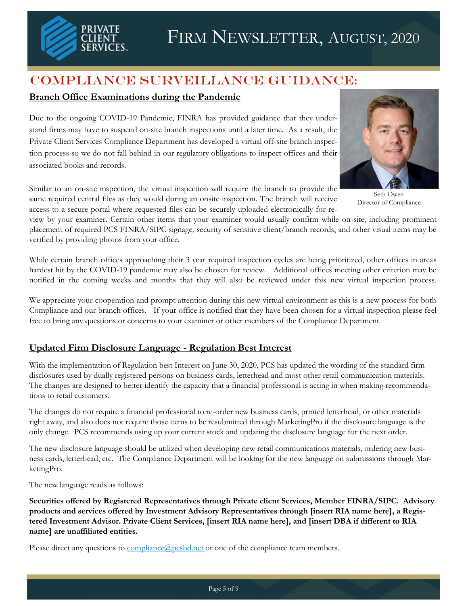

## Compliance Surveillance Guidance:

#### **Branch Office Examinations during the Pandemic**

Due to the ongoing COVID-19 Pandemic, FINRA has provided guidance that they understand firms may have to suspend on-site branch inspections until a later time. As a result, the Private Client Services Compliance Department has developed a virtual off-site branch inspection process so we do not fall behind in our regulatory obligations to inspect offices and their associated books and records.

Similar to an on-site inspection, the virtual inspection will require the branch to provide the same required central files as they would during an onsite inspection. The branch will receive access to a secure portal where requested files can be securely uploaded electronically for re-

view by your examiner. Certain other items that your examiner would usually confirm while on-site, including prominent placement of required PCS FINRA/SIPC signage, security of sensitive client/branch records, and other visual items may be verified by providing photos from your office.

While certain branch offices approaching their 3 year required inspection cycles are being prioritized, other offices in areas hardest hit by the COVID-19 pandemic may also be chosen for review. Additional offices meeting other criterion may be notified in the coming weeks and months that they will also be reviewed under this new virtual inspection process.

We appreciate your cooperation and prompt attention during this new virtual environment as this is a new process for both Compliance and our branch offices. If your office is notified that they have been chosen for a virtual inspection please feel free to bring any questions or concerns to your examiner or other members of the Compliance Department.

#### **Updated Firm Disclosure Language - Regulation Best Interest**

With the implementation of Regulation best Interest on June 30, 2020, PCS has updated the wording of the standard firm disclosures used by dually registered persons on business cards, letterhead and most other retail communication materials. The changes are designed to better identify the capacity that a financial professional is acting in when making recommendations to retail customers.

The changes do not require a financial professional to re-order new business cards, printed letterhead, or other materials right away, and also does not require those items to be resubmitted through MarketingPro if the disclosure language is the only change. PCS recommends using up your current stock and updating the disclosure language for the next order.

The new disclosure language should be utilized when developing new retail communications materials, ordering new business cards, letterhead, etc. The Compliance Department will be looking for the new language on submissions through MarketingPro.

The new language reads as follows:

**Securities offered by Registered Representatives through Private client Services, Member FINRA/SIPC. Advisory products and services offered by Investment Advisory Representatives through [insert RIA name here], a Registered Investment Advisor. Private Client Services, [insert RIA name here], and [insert DBA if different to RIA name] are unaffiliated entities.**

Please direct any questions to [compliance@pcsbd.net](mailto:compliance@pcsbd.net) or one of the compliance team members.



Seth Owen Director of Compliance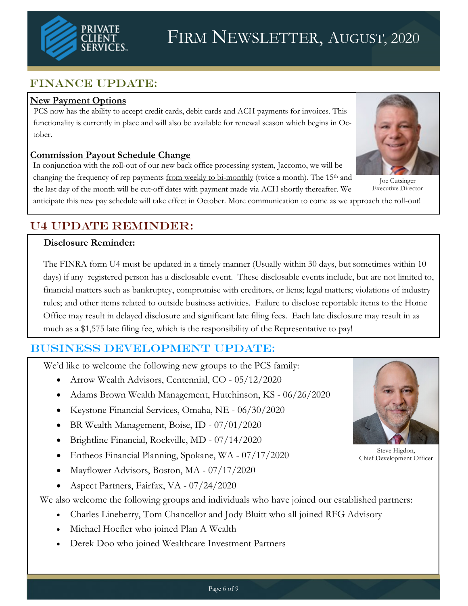

## FINANCE UPDATE:

#### **New Payment Options**

PCS now has the ability to accept credit cards, debit cards and ACH payments for invoices. This functionality is currently in place and will also be available for renewal season which begins in October.

#### **Commission Payout Schedule Change**

In conjunction with the roll-out of our new back office processing system, Jaccomo, we will be changing the frequency of rep payments from weekly to bi-monthly (twice a month). The 15<sup>th</sup> and the last day of the month will be cut-off dates with payment made via ACH shortly thereafter. We



## U4 UPDATE REMINDER:

#### **Disclosure Reminder:**

The FINRA form U4 must be updated in a timely manner (Usually within 30 days, but sometimes within 10 days) if any registered person has a disclosable event. These disclosable events include, but are not limited to, financial matters such as bankruptcy, compromise with creditors, or liens; legal matters; violations of industry rules; and other items related to outside business activities. Failure to disclose reportable items to the Home Office may result in delayed disclosure and significant late filing fees. Each late disclosure may result in as much as a \$1,575 late filing fee, which is the responsibility of the Representative to pay!

## Business Development UPDATE:

We'd like to welcome the following new groups to the PCS family:

- Arrow Wealth Advisors, Centennial, CO 05/12/2020
- Adams Brown Wealth Management, Hutchinson, KS 06/26/2020
- Keystone Financial Services, Omaha, NE 06/30/2020
- BR Wealth Management, Boise, ID 07/01/2020
- Brightline Financial, Rockville, MD 07/14/2020
- Entheos Financial Planning, Spokane, WA 07/17/2020
- Mayflower Advisors, Boston, MA 07/17/2020
- Aspect Partners, Fairfax, VA 07/24/2020

We also welcome the following groups and individuals who have joined our established partners:

- Charles Lineberry, Tom Chancellor and Jody Bluitt who all joined RFG Advisory
- Michael Hoefler who joined Plan A Wealth
- Derek Doo who joined Wealthcare Investment Partners



Steve Higdon, Chief Development Officer



Joe Cutsinger Executive Director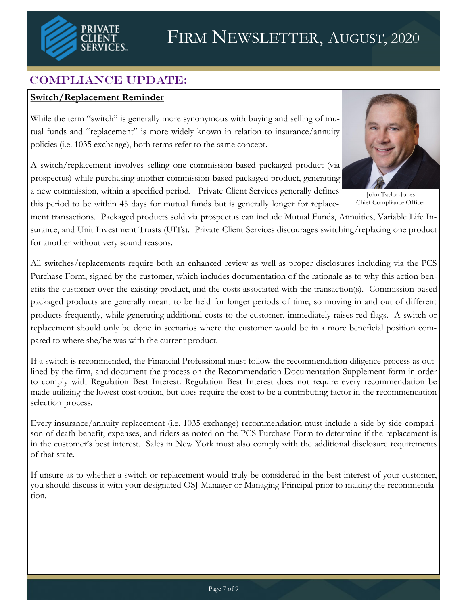

## COMPLIANCE UPDATE:

#### **Switch/Replacement Reminder**

While the term "switch" is generally more synonymous with buying and selling of mutual funds and "replacement" is more widely known in relation to insurance/annuity policies (i.e. 1035 exchange), both terms refer to the same concept.

A switch/replacement involves selling one commission-based packaged product (via prospectus) while purchasing another commission-based packaged product, generating a new commission, within a specified period. Private Client Services generally defines



for another without very sound reasons.

All switches/replacements require both an enhanced review as well as proper disclosures including via the PCS Purchase Form, signed by the customer, which includes documentation of the rationale as to why this action benefits the customer over the existing product, and the costs associated with the transaction(s). Commission-based packaged products are generally meant to be held for longer periods of time, so moving in and out of different products frequently, while generating additional costs to the customer, immediately raises red flags. A switch or replacement should only be done in scenarios where the customer would be in a more beneficial position compared to where she/he was with the current product.

If a switch is recommended, the Financial Professional must follow the recommendation diligence process as outlined by the firm, and document the process on the Recommendation Documentation Supplement form in order to comply with Regulation Best Interest. Regulation Best Interest does not require every recommendation be made utilizing the lowest cost option, but does require the cost to be a contributing factor in the recommendation selection process.

Every insurance/annuity replacement (i.e. 1035 exchange) recommendation must include a side by side comparison of death benefit, expenses, and riders as noted on the PCS Purchase Form to determine if the replacement is in the customer's best interest. Sales in New York must also comply with the additional disclosure requirements of that state.

If unsure as to whether a switch or replacement would truly be considered in the best interest of your customer, you should discuss it with your designated OSJ Manager or Managing Principal prior to making the recommendation.



John Taylor-Jones Chief Compliance Officer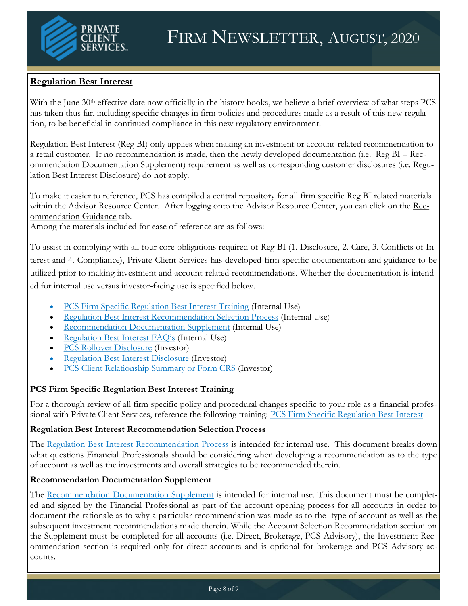#### **Regulation Best Interest**

With the June 30<sup>th</sup> effective date now officially in the history books, we believe a brief overview of what steps PCS has taken thus far, including specific changes in firm policies and procedures made as a result of this new regulation, to be beneficial in continued compliance in this new regulatory environment.

Regulation Best Interest (Reg BI) only applies when making an investment or account-related recommendation to a retail customer. If no recommendation is made, then the newly developed documentation (i.e. Reg BI – Recommendation Documentation Supplement) requirement as well as corresponding customer disclosures (i.e. Regulation Best Interest Disclosure) do not apply.

To make it easier to reference, PCS has compiled a central repository for all firm specific Reg BI related materials within the Advisor Resource Center. After logging onto the Advisor Resource Center, you can click on the [Rec](https://pcsbd.net/client-access-area/recommendation-guidance/)[ommendation Guidance](https://pcsbd.net/client-access-area/recommendation-guidance/) tab.

Among the materials included for ease of reference are as follows:

To assist in complying with all four core obligations required of Reg BI (1. Disclosure, 2. Care, 3. Conflicts of Interest and 4. Compliance), Private Client Services has developed firm specific documentation and guidance to be utilized prior to making investment and account-related recommendations. Whether the documentation is intended for internal use versus investor-facing use is specified below.

- [PCS Firm Specific Regulation Best Interest Training](https://pcsbd.net/client-access-area/recommendation-guidance/) (Internal Use)
- [Regulation Best Interest Recommendation Selection Process](https://pcsbd.net/client-access-area/recommendation-guidance/) (Internal Use)
- [Recommendation Documentation Supplement](https://pcsbd.net/client-access-area/recommendation-guidance/) (Internal Use)
- [Regulation Best Interest FAQ's](https://pcsbd.net/client-access-area/recommendation-guidance/) (Internal Use)
- **[PCS Rollover Disclosure](https://pcsbd.net/client-access-area/recommendation-guidance/) (Investor)**
- [Regulation Best Interest Disclosure](https://pcsbd.net/regulation_best_interest/) (Investor)
- [PCS Client Relationship Summary or Form CRS](https://pcsbd.net/regulation_best_interest/) (Investor)

#### **PCS Firm Specific Regulation Best Interest Training**

For a thorough review of all firm specific policy and procedural changes specific to your role as a financial professional with Private Client Services, reference the following training: PCS Firm Specific Regulation Best Interest

#### **Regulation Best Interest Recommendation Selection Process**

The [Regulation Best Interest Recommendation Process](https://pcsbd.net/client-access-area/recommendation-guidance/) is intended for internal use. This document breaks down what questions Financial Professionals should be considering when developing a recommendation as to the type of account as well as the investments and overall strategies to be recommended therein.

#### **Recommendation Documentation Supplement**

The [Recommendation Documentation Supplement](https://pcsbd.net/client-access-area/recommendation-guidance/) is intended for internal use. This document must be completed and signed by the Financial Professional as part of the account opening process for all accounts in order to document the rationale as to why a particular recommendation was made as to the type of account as well as the subsequent investment recommendations made therein. While the Account Selection Recommendation section on the Supplement must be completed for all accounts (i.e. Direct, Brokerage, PCS Advisory), the Investment Recommendation section is required only for direct accounts and is optional for brokerage and PCS Advisory accounts.